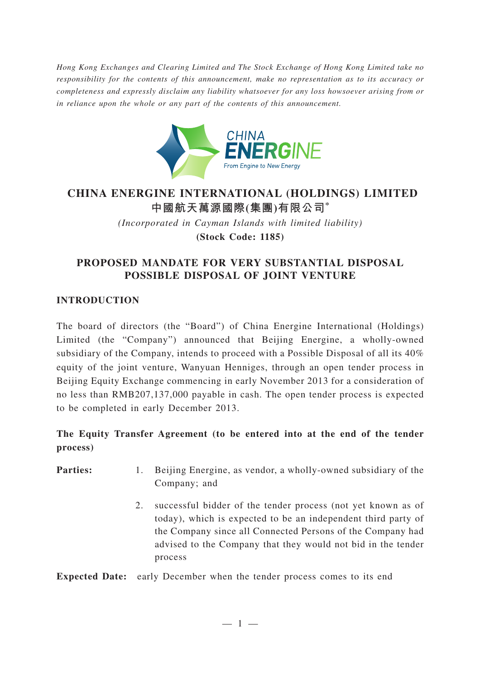*Hong Kong Exchanges and Clearing Limited and The Stock Exchange of Hong Kong Limited take no responsibility for the contents of this announcement, make no representation as to its accuracy or completeness and expressly disclaim any liability whatsoever for any loss howsoever arising from or in reliance upon the whole or any part of the contents of this announcement.*



# **CHINA ENERGINE INTERNATIONAL (HOLDINGS) LIMITED 中國航天萬源國際(集團)有限公司\***

*(Incorporated in Cayman Islands with limited liability)* **(Stock Code: 1185)**

## **PROPOSED MANDATE FOR VERY SUBSTANTIAL DISPOSAL POSSIBLE DISPOSAL OF JOINT VENTURE**

#### **INTRODUCTION**

The board of directors (the "Board") of China Energine International (Holdings) Limited (the "Company") announced that Beijing Energine, a wholly-owned subsidiary of the Company, intends to proceed with a Possible Disposal of all its 40% equity of the joint venture, Wanyuan Henniges, through an open tender process in Beijing Equity Exchange commencing in early November 2013 for a consideration of no less than RMB207,137,000 payable in cash. The open tender process is expected to be completed in early December 2013.

## **The Equity Transfer Agreement (to be entered into at the end of the tender process)**

**Parties:** 1. Beijing Energine, as vendor, a wholly-owned subsidiary of the Company; and

> 2. successful bidder of the tender process (not yet known as of today), which is expected to be an independent third party of the Company since all Connected Persons of the Company had advised to the Company that they would not bid in the tender process

**Expected Date:** early December when the tender process comes to its end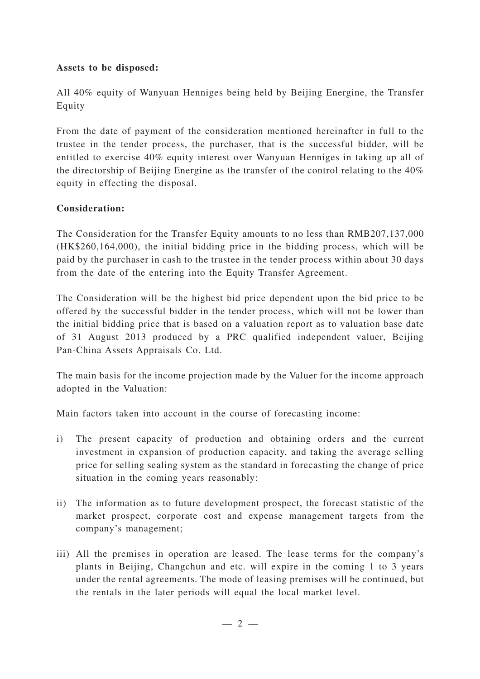#### **Assets to be disposed:**

All 40% equity of Wanyuan Henniges being held by Beijing Energine, the Transfer Equity

From the date of payment of the consideration mentioned hereinafter in full to the trustee in the tender process, the purchaser, that is the successful bidder, will be entitled to exercise 40% equity interest over Wanyuan Henniges in taking up all of the directorship of Beijing Energine as the transfer of the control relating to the 40% equity in effecting the disposal.

#### **Consideration:**

The Consideration for the Transfer Equity amounts to no less than RMB207,137,000 (HK\$260,164,000), the initial bidding price in the bidding process, which will be paid by the purchaser in cash to the trustee in the tender process within about 30 days from the date of the entering into the Equity Transfer Agreement.

The Consideration will be the highest bid price dependent upon the bid price to be offered by the successful bidder in the tender process, which will not be lower than the initial bidding price that is based on a valuation report as to valuation base date of 31 August 2013 produced by a PRC qualified independent valuer, Beijing Pan-China Assets Appraisals Co. Ltd.

The main basis for the income projection made by the Valuer for the income approach adopted in the Valuation:

Main factors taken into account in the course of forecasting income:

- i) The present capacity of production and obtaining orders and the current investment in expansion of production capacity, and taking the average selling price for selling sealing system as the standard in forecasting the change of price situation in the coming years reasonably:
- ii) The information as to future development prospect, the forecast statistic of the market prospect, corporate cost and expense management targets from the company's management;
- iii) All the premises in operation are leased. The lease terms for the company's plants in Beijing, Changchun and etc. will expire in the coming 1 to 3 years under the rental agreements. The mode of leasing premises will be continued, but the rentals in the later periods will equal the local market level.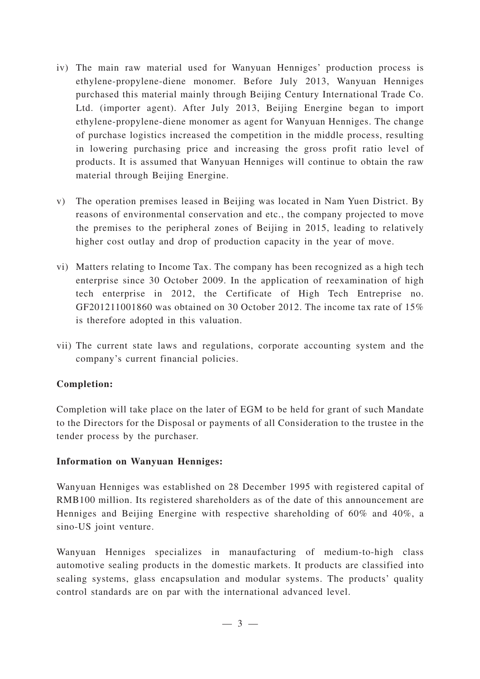- iv) The main raw material used for Wanyuan Henniges' production process is ethylene-propylene-diene monomer. Before July 2013, Wanyuan Henniges purchased this material mainly through Beijing Century International Trade Co. Ltd. (importer agent). After July 2013, Beijing Energine began to import ethylene-propylene-diene monomer as agent for Wanyuan Henniges. The change of purchase logistics increased the competition in the middle process, resulting in lowering purchasing price and increasing the gross profit ratio level of products. It is assumed that Wanyuan Henniges will continue to obtain the raw material through Beijing Energine.
- v) The operation premises leased in Beijing was located in Nam Yuen District. By reasons of environmental conservation and etc., the company projected to move the premises to the peripheral zones of Beijing in 2015, leading to relatively higher cost outlay and drop of production capacity in the year of move.
- vi) Matters relating to Income Tax. The company has been recognized as a high tech enterprise since 30 October 2009. In the application of reexamination of high tech enterprise in 2012, the Certificate of High Tech Entreprise no. GF201211001860 was obtained on 30 October 2012. The income tax rate of 15% is therefore adopted in this valuation.
- vii) The current state laws and regulations, corporate accounting system and the company's current financial policies.

### **Completion:**

Completion will take place on the later of EGM to be held for grant of such Mandate to the Directors for the Disposal or payments of all Consideration to the trustee in the tender process by the purchaser.

### **Information on Wanyuan Henniges:**

Wanyuan Henniges was established on 28 December 1995 with registered capital of RMB100 million. Its registered shareholders as of the date of this announcement are Henniges and Beijing Energine with respective shareholding of 60% and 40%, a sino-US joint venture.

Wanyuan Henniges specializes in manaufacturing of medium-to-high class automotive sealing products in the domestic markets. It products are classified into sealing systems, glass encapsulation and modular systems. The products' quality control standards are on par with the international advanced level.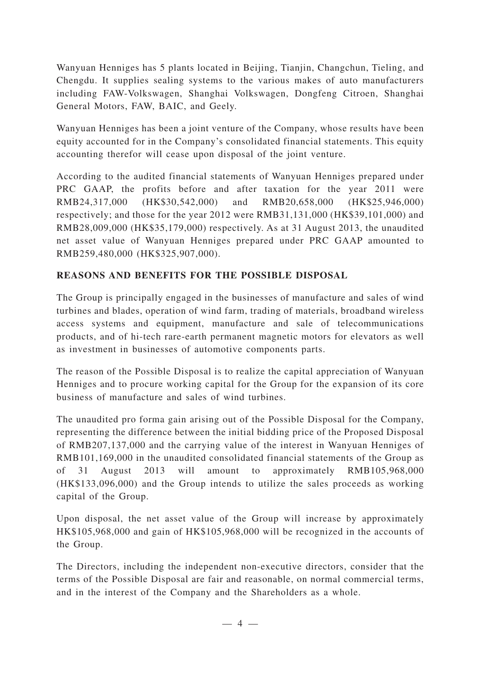Wanyuan Henniges has 5 plants located in Beijing, Tianjin, Changchun, Tieling, and Chengdu. It supplies sealing systems to the various makes of auto manufacturers including FAW-Volkswagen, Shanghai Volkswagen, Dongfeng Citroen, Shanghai General Motors, FAW, BAIC, and Geely.

Wanyuan Henniges has been a joint venture of the Company, whose results have been equity accounted for in the Company's consolidated financial statements. This equity accounting therefor will cease upon disposal of the joint venture.

According to the audited financial statements of Wanyuan Henniges prepared under PRC GAAP, the profits before and after taxation for the year 2011 were RMB24,317,000 (HK\$30,542,000) and RMB20,658,000 (HK\$25,946,000) respectively; and those for the year 2012 were RMB31,131,000 (HK\$39,101,000) and RMB28,009,000 (HK\$35,179,000) respectively. As at 31 August 2013, the unaudited net asset value of Wanyuan Henniges prepared under PRC GAAP amounted to RMB259,480,000 (HK\$325,907,000).

### **REASONS AND BENEFITS FOR THE POSSIBLE DISPOSAL**

The Group is principally engaged in the businesses of manufacture and sales of wind turbines and blades, operation of wind farm, trading of materials, broadband wireless access systems and equipment, manufacture and sale of telecommunications products, and of hi-tech rare-earth permanent magnetic motors for elevators as well as investment in businesses of automotive components parts.

The reason of the Possible Disposal is to realize the capital appreciation of Wanyuan Henniges and to procure working capital for the Group for the expansion of its core business of manufacture and sales of wind turbines.

The unaudited pro forma gain arising out of the Possible Disposal for the Company, representing the difference between the initial bidding price of the Proposed Disposal of RMB207,137,000 and the carrying value of the interest in Wanyuan Henniges of RMB101,169,000 in the unaudited consolidated financial statements of the Group as of 31 August 2013 will amount to approximately RMB105,968,000 (HK\$133,096,000) and the Group intends to utilize the sales proceeds as working capital of the Group.

Upon disposal, the net asset value of the Group will increase by approximately HK\$105,968,000 and gain of HK\$105,968,000 will be recognized in the accounts of the Group.

The Directors, including the independent non-executive directors, consider that the terms of the Possible Disposal are fair and reasonable, on normal commercial terms, and in the interest of the Company and the Shareholders as a whole.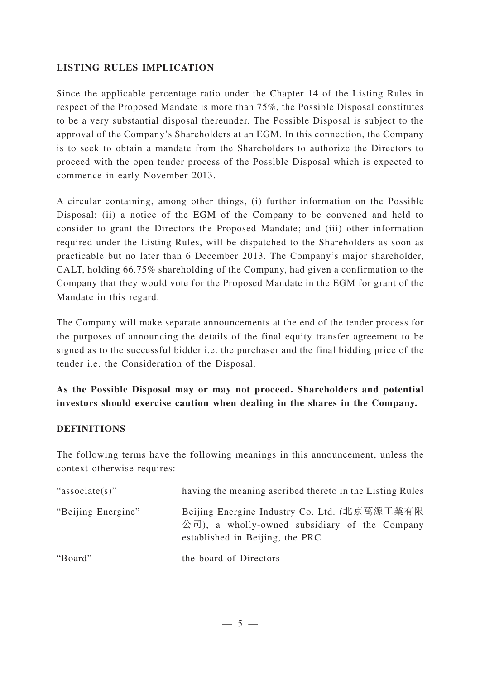### **LISTING RULES IMPLICATION**

Since the applicable percentage ratio under the Chapter 14 of the Listing Rules in respect of the Proposed Mandate is more than 75%, the Possible Disposal constitutes to be a very substantial disposal thereunder. The Possible Disposal is subject to the approval of the Company's Shareholders at an EGM. In this connection, the Company is to seek to obtain a mandate from the Shareholders to authorize the Directors to proceed with the open tender process of the Possible Disposal which is expected to commence in early November 2013.

A circular containing, among other things, (i) further information on the Possible Disposal; (ii) a notice of the EGM of the Company to be convened and held to consider to grant the Directors the Proposed Mandate; and (iii) other information required under the Listing Rules, will be dispatched to the Shareholders as soon as practicable but no later than 6 December 2013. The Company's major shareholder, CALT, holding 66.75% shareholding of the Company, had given a confirmation to the Company that they would vote for the Proposed Mandate in the EGM for grant of the Mandate in this regard.

The Company will make separate announcements at the end of the tender process for the purposes of announcing the details of the final equity transfer agreement to be signed as to the successful bidder i.e. the purchaser and the final bidding price of the tender i.e. the Consideration of the Disposal.

## **As the Possible Disposal may or may not proceed. Shareholders and potential investors should exercise caution when dealing in the shares in the Company.**

### **DEFINITIONS**

The following terms have the following meanings in this announcement, unless the context otherwise requires:

| "associate(s)"     | having the meaning ascribed thereto in the Listing Rules                                                                                          |
|--------------------|---------------------------------------------------------------------------------------------------------------------------------------------------|
| "Beijing Energine" | Beijing Energine Industry Co. Ltd. (北京萬源工業有限<br>$\Diamond \exists$ ), a wholly-owned subsidiary of the Company<br>established in Beijing, the PRC |
| "Board"            | the board of Directors                                                                                                                            |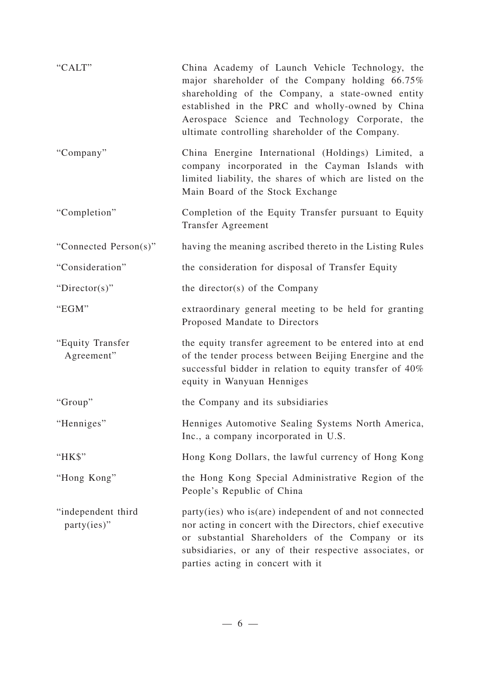| "CALT"                            | China Academy of Launch Vehicle Technology, the<br>major shareholder of the Company holding 66.75%<br>shareholding of the Company, a state-owned entity<br>established in the PRC and wholly-owned by China<br>Aerospace Science and Technology Corporate, the<br>ultimate controlling shareholder of the Company. |
|-----------------------------------|--------------------------------------------------------------------------------------------------------------------------------------------------------------------------------------------------------------------------------------------------------------------------------------------------------------------|
| "Company"                         | China Energine International (Holdings) Limited, a<br>company incorporated in the Cayman Islands with<br>limited liability, the shares of which are listed on the<br>Main Board of the Stock Exchange                                                                                                              |
| "Completion"                      | Completion of the Equity Transfer pursuant to Equity<br><b>Transfer Agreement</b>                                                                                                                                                                                                                                  |
| "Connected Person(s)"             | having the meaning ascribed thereto in the Listing Rules                                                                                                                                                                                                                                                           |
| "Consideration"                   | the consideration for disposal of Transfer Equity                                                                                                                                                                                                                                                                  |
| " $Directory$ "                   | the director(s) of the Company                                                                                                                                                                                                                                                                                     |
| "EGM"                             | extraordinary general meeting to be held for granting<br>Proposed Mandate to Directors                                                                                                                                                                                                                             |
| "Equity Transfer<br>Agreement"    | the equity transfer agreement to be entered into at end<br>of the tender process between Beijing Energine and the<br>successful bidder in relation to equity transfer of 40%<br>equity in Wanyuan Henniges                                                                                                         |
| "Group"                           | the Company and its subsidiaries                                                                                                                                                                                                                                                                                   |
| "Henniges"                        | Henniges Automotive Sealing Systems North America,<br>Inc., a company incorporated in U.S.                                                                                                                                                                                                                         |
| "HK\$"                            | Hong Kong Dollars, the lawful currency of Hong Kong                                                                                                                                                                                                                                                                |
| "Hong Kong"                       | the Hong Kong Special Administrative Region of the<br>People's Republic of China                                                                                                                                                                                                                                   |
| "independent third<br>party(ies)" | party(ies) who is(are) independent of and not connected<br>nor acting in concert with the Directors, chief executive<br>or substantial Shareholders of the Company or its<br>subsidiaries, or any of their respective associates, or<br>parties acting in concert with it                                          |